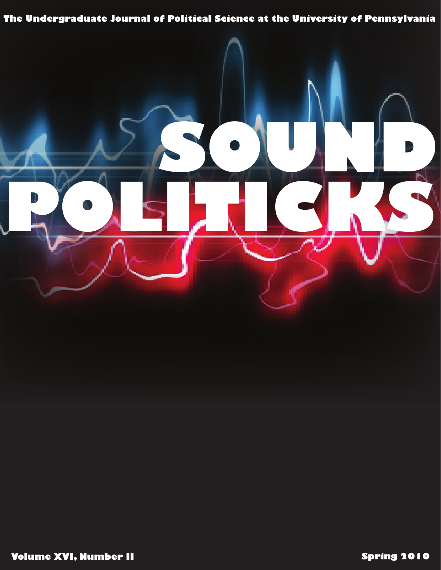# The Undergraduate Journal of Political Science at the University of Pennsylvania

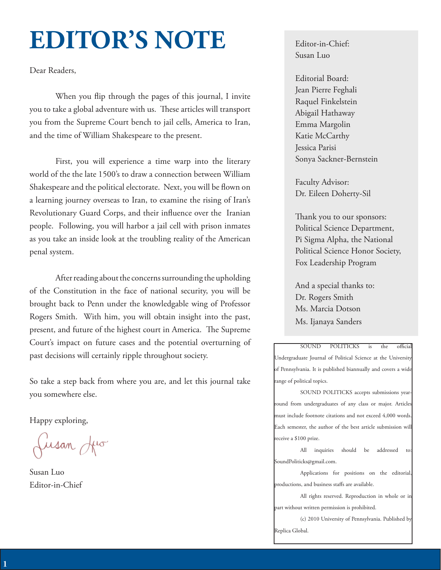# **EDITOR'S NOTE**

Dear Readers,

When you flip through the pages of this journal, I invite you to take a global adventure with us. These articles will transport you from the Supreme Court bench to jail cells, America to Iran, and the time of William Shakespeare to the present.

First, you will experience a time warp into the literary world of the the late 1500's to draw a connection between William Shakespeare and the political electorate. Next, you will be flown on a learning journey overseas to Iran, to examine the rising of Iran's Revolutionary Guard Corps, and their influence over the Iranian people. Following, you will harbor a jail cell with prison inmates as you take an inside look at the troubling reality of the American penal system.

After reading about the concerns surrounding the upholding of the Constitution in the face of national security, you will be brought back to Penn under the knowledgable wing of Professor Rogers Smith. With him, you will obtain insight into the past, present, and future of the highest court in America. The Supreme Court's impact on future cases and the potential overturning of past decisions will certainly ripple throughout society.

So take a step back from where you are, and let this journal take you somewhere else.

Happy exploring,

Jusan Juo

Susan Luo Editor-in-Chief

Editor-in-Chief: Susan Luo

Editorial Board: Jean Pierre Feghali Raquel Finkelstein Abigail Hathaway Emma Margolin Katie McCarthy Jessica Parisi Sonya Sackner-Bernstein

Faculty Advisor: Dr. Eileen Doherty-Sil

Thank you to our sponsors: Political Science Department, Pi Sigma Alpha, the National Political Science Honor Society, Fox Leadership Program

And a special thanks to: Dr. Rogers Smith Ms. Marcia Dotson Ms. Ijanaya Sanders

SOUND POLITICKS is the official Undergraduate Journal of Political Science at the University of Pennsylvania. It is published biannually and covers a wide range of political topics.

SOUND POLITICKS accepts submissions yearround from undergraduates of any class or major. Articles must include footnote citations and not exceed 4,000 words. Each semester, the author of the best article submission will receive a \$100 prize.

All inquiries should be addressed to: SoundPoliticks@gmail.com.

Applications for positions on the editorial, productions, and business staffs are available.

All rights reserved. Reproduction in whole or in part without written permission is prohibited.

(c) 2010 University of Pennsylvania. Published by Replica Global.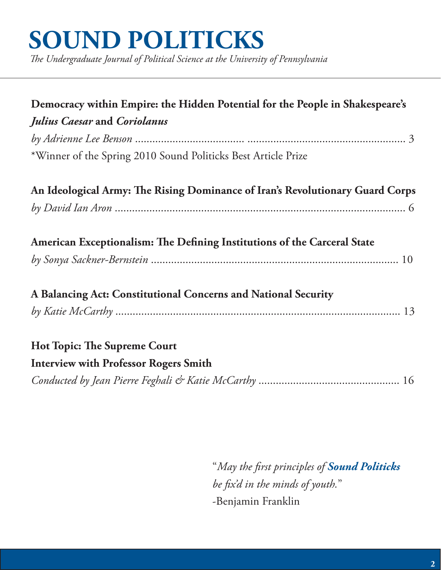# **SOUND POLITICKS**

*The Undergraduate Journal of Political Science at the University of Pennsylvania*

| Democracy within Empire: the Hidden Potential for the People in Shakespeare's<br>Julius Caesar and Coriolanus<br>*Winner of the Spring 2010 Sound Politicks Best Article Prize |
|--------------------------------------------------------------------------------------------------------------------------------------------------------------------------------|
| An Ideological Army: The Rising Dominance of Iran's Revolutionary Guard Corps                                                                                                  |
| American Exceptionalism: The Defining Institutions of the Carceral State                                                                                                       |
| A Balancing Act: Constitutional Concerns and National Security                                                                                                                 |
| <b>Hot Topic: The Supreme Court</b><br><b>Interview with Professor Rogers Smith</b>                                                                                            |

 "*May the first principles of Sound Politicks be fix'd in the minds of youth.*" -Benjamin Franklin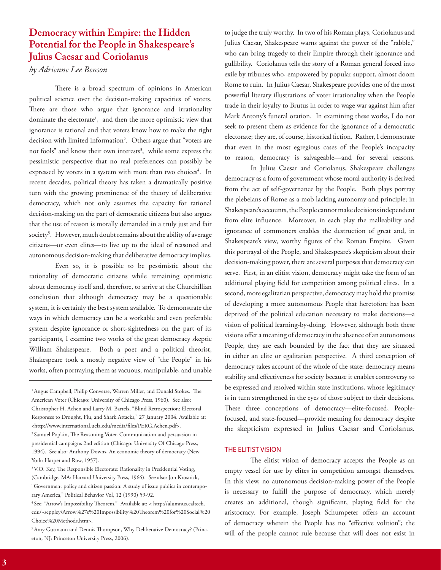## **Democracy within Empire: the Hidden Potential for the People in Shakespeare's Julius Caesar and Coriolanus**

## *by Adrienne Lee Benson*

There is a broad spectrum of opinions in American political science over the decision-making capacities of voters. There are those who argue that ignorance and irrationality dominate the electorate<sup>1</sup>, and then the more optimistic view that ignorance is rational and that voters know how to make the right decision with limited information<sup>2</sup>. Others argue that "voters are not fools" and know their own interests<sup>3</sup>, while some express the pessimistic perspective that no real preferences can possibly be expressed by voters in a system with more than two choices<sup>4</sup>. In recent decades, political theory has taken a dramatically positive turn with the growing prominence of the theory of deliberative democracy, which not only assumes the capacity for rational decision-making on the part of democratic citizens but also argues that the use of reason is morally demanded in a truly just and fair society<sup>5</sup>. However, much doubt remains about the ability of average citizens—or even elites—to live up to the ideal of reasoned and autonomous decision-making that deliberative democracy implies.

Even so, it is possible to be pessimistic about the rationality of democratic citizens while remaining optimistic about democracy itself and, therefore, to arrive at the Churchillian conclusion that although democracy may be a questionable system, it is certainly the best system available. To demonstrate the ways in which democracy can be a workable and even preferable system despite ignorance or short-sightedness on the part of its participants, I examine two works of the great democracy skeptic William Shakespeare. Both a poet and a political theorist, Shakespeare took a mostly negative view of "the People" in his works, often portraying them as vacuous, manipulable, and unable

to judge the truly worthy. In two of his Roman plays, Coriolanus and Julius Caesar, Shakespeare warns against the power of the "rabble," who can bring tragedy to their Empire through their ignorance and gullibility. Coriolanus tells the story of a Roman general forced into exile by tribunes who, empowered by popular support, almost doom Rome to ruin. In Julius Caesar, Shakespeare provides one of the most powerful literary illustrations of voter irrationality when the People trade in their loyalty to Brutus in order to wage war against him after Mark Antony's funeral oration. In examining these works, I do not seek to present them as evidence for the ignorance of a democratic electorate; they are, of course, historical fiction. Rather, I demonstrate that even in the most egregious cases of the People's incapacity to reason, democracy is salvageable—and for several reasons.

In Julius Caesar and Coriolanus, Shakespeare challenges democracy as a form of government whose moral authority is derived from the act of self-governance by the People. Both plays portray the plebeians of Rome as a mob lacking autonomy and principle; in Shakespeare's accounts, the People cannot make decisions independent from elite influence. Moreover, in each play the malleability and ignorance of commoners enables the destruction of great and, in Shakespeare's view, worthy figures of the Roman Empire. Given this portrayal of the People, and Shakespeare's skepticism about their decision-making power, there are several purposes that democracy can serve. First, in an elitist vision, democracy might take the form of an additional playing field for competition among political elites. In a second, more egalitarian perspective, democracy may hold the promise of developing a more autonomous People that heretofore has been deprived of the political education necessary to make decisions—a vision of political learning-by-doing. However, although both these visions offer a meaning of democracy in the absence of an autonomous People, they are each bounded by the fact that they are situated in either an elite or egalitarian perspective. A third conception of democracy takes account of the whole of the state: democracy means stability and effectiveness for society because it enables controversy to be expressed and resolved within state institutions, whose legitimacy is in turn strengthened in the eyes of those subject to their decisions. These three conceptions of democracy—elite-focused, Peoplefocused, and state-focused—provide meaning for democracy despite the skepticism expressed in Julius Caesar and Coriolanus.

#### THE ELITIST VISION

The elitist vision of democracy accepts the People as an empty vessel for use by elites in competition amongst themselves. In this view, no autonomous decision-making power of the People is necessary to fulfill the purpose of democracy, which merely creates an additional, though significant, playing field for the aristocracy. For example, Joseph Schumpeter offers an account of democracy wherein the People has no "effective volition"; the will of the people cannot rule because that will does not exist in

<sup>&</sup>lt;sup>1</sup> Angus Campbell, Philip Converse, Warren Miller, and Donald Stokes. The American Voter (Chicago: University of Chicago Press, 1960). See also: Christopher H. Achen and Larry M. Bartels, "Blind Retrospection: Electoral Responses to Drought, Flu, and Shark Attacks," 27 January 2004. Available at: <http://www.international.ucla.edu/media/files/PERG.Achen.pdf>. 2 Samuel Popkin, The Reasoning Voter. Communication and persuasion in presidential campaigns 2nd edition (Chicago: University Of Chicago Press, 1994). See also: Anthony Downs, An economic theory of democracy (New York: Harper and Row, 1957).

<sup>&</sup>lt;sup>3</sup> V.O. Key, The Responsible Electorate: Rationality in Presidential Voting, (Cambridge, MA: Harvard University Press, 1966). See also: Jon Krosnick, "Government policy and citizen passion: A study of issue publics in contemporary America," Political Behavior Vol, 12 (1990) 59-92.

<sup>4</sup> See: "Arrow's Impossibility Theorem." Available at: < http://alumnus.caltech. edu/~seppley/Arrow%27s%20Impossibility%20Theorem%20for%20Social%20 Choice%20Methods.htm>.

<sup>&</sup>lt;sup>5</sup> Amy Gutmann and Dennis Thompson, Why Deliberative Democracy? (Princeton, NJ: Princeton University Press, 2006).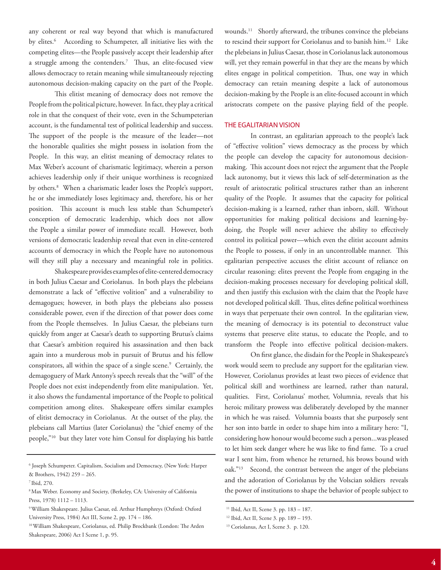any coherent or real way beyond that which is manufactured by elites.<sup>6</sup> According to Schumpeter, all initiative lies with the competing elites—the People passively accept their leadership after a struggle among the contenders.7 Thus, an elite-focused view allows democracy to retain meaning while simultaneously rejecting autonomous decision-making capacity on the part of the People.

This elitist meaning of democracy does not remove the People from the political picture, however. In fact, they play a critical role in that the conquest of their vote, even in the Schumpeterian account, is the fundamental test of political leadership and success. The support of the people is the measure of the leader—not the honorable qualities she might possess in isolation from the People. In this way, an elitist meaning of democracy relates to Max Weber's account of charismatic legitimacy, wherein a person achieves leadership only if their unique worthiness is recognized by others.8 When a charismatic leader loses the People's support, he or she immediately loses legitimacy and, therefore, his or her position. This account is much less stable than Schumpeter's conception of democratic leadership, which does not allow the People a similar power of immediate recall. However, both versions of democratic leadership reveal that even in elite-centered accounts of democracy in which the People have no autonomous will they still play a necessary and meaningful role in politics.

Shakespeare provides examples of elite-centered democracy in both Julius Caesar and Coriolanus. In both plays the plebeians demonstrate a lack of "effective volition" and a vulnerability to demagogues; however, in both plays the plebeians also possess considerable power, even if the direction of that power does come from the People themselves. In Julius Caesar, the plebeians turn quickly from anger at Caesar's death to supporting Brutus's claims that Caesar's ambition required his assassination and then back again into a murderous mob in pursuit of Brutus and his fellow conspirators, all within the space of a single scene.<sup>9</sup> Certainly, the demagoguery of Mark Antony's speech reveals that the "will" of the People does not exist independently from elite manipulation. Yet, it also shows the fundamental importance of the People to political competition among elites. Shakespeare offers similar examples of elitist democracy in Coriolanus. At the outset of the play, the plebeians call Martius (later Coriolanus) the "chief enemy of the people,"10 but they later vote him Consul for displaying his battle

wounds.11 Shortly afterward, the tribunes convince the plebeians to rescind their support for Coriolanus and to banish him.<sup>12</sup> Like the plebeians in Julius Caesar, those in Coriolanus lack autonomous will, yet they remain powerful in that they are the means by which elites engage in political competition. Thus, one way in which democracy can retain meaning despite a lack of autonomous decision-making by the People is an elite-focused account in which aristocrats compete on the passive playing field of the people.

#### THE EGALITARIAN VISION

In contrast, an egalitarian approach to the people's lack of "effective volition" views democracy as the process by which the people can develop the capacity for autonomous decisionmaking. This account does not reject the argument that the People lack autonomy, but it views this lack of self-determination as the result of aristocratic political structures rather than an inherent quality of the People. It assumes that the capacity for political decision-making is a learned, rather than inborn, skill. Without opportunities for making political decisions and learning-bydoing, the People will never achieve the ability to effectively control its political power—which even the elitist account admits the People to possess, if only in an uncontrollable manner. This egalitarian perspective accuses the elitist account of reliance on circular reasoning: elites prevent the People from engaging in the decision-making processes necessary for developing political skill, and then justify this exclusion with the claim that the People have not developed political skill. Thus, elites define political worthiness in ways that perpetuate their own control. In the egalitarian view, the meaning of democracy is its potential to deconstruct value systems that preserve elite status, to educate the People, and to transform the People into effective political decision-makers.

On first glance, the disdain for the People in Shakespeare's work would seem to preclude any support for the egalitarian view. However, Coriolanus provides at least two pieces of evidence that political skill and worthiness are learned, rather than natural, qualities. First, Coriolanus' mother, Volumnia, reveals that his heroic military prowess was deliberately developed by the manner in which he was raised. Volumnia boasts that she purposely sent her son into battle in order to shape him into a military hero: "I, considering how honour would become such a person...was pleased to let him seek danger where he was like to find fame. To a cruel war I sent him, from whence he returned, his brows bound with oak."13 Second, the contrast between the anger of the plebeians and the adoration of Coriolanus by the Volscian soldiers reveals the power of institutions to shape the behavior of people subject to

<sup>6</sup> Joseph Schumpeter. Capitalism, Socialism and Democracy, (New York: Harper & Brothers, 1942) 259 – 265.

<sup>7</sup> Ibid, 270.

<sup>8</sup> Max Weber. Economy and Society, (Berkeley, CA: University of California Press, 1978) 1112 – 1113.

<sup>9</sup> William Shakespeare. Julius Caesar, ed. Arthur Humphreys (Oxford: Oxford University Press, 1984) Act III, Scene 2, pp. 174 – 186.

<sup>10</sup> William Shakespeare, Coriolanus, ed. Philip Brockbank (London: The Arden Shakespeare, 2006) Act I Scene 1, p. 95.

<sup>&</sup>lt;sup>11</sup> Ibid, Act II, Scene 3. pp. 183 - 187.

<sup>12</sup> Ibid, Act II, Scene 3. pp. 189 – 193.

<sup>&</sup>lt;sup>13</sup> Coriolanus, Act I, Scene 3. p. 120.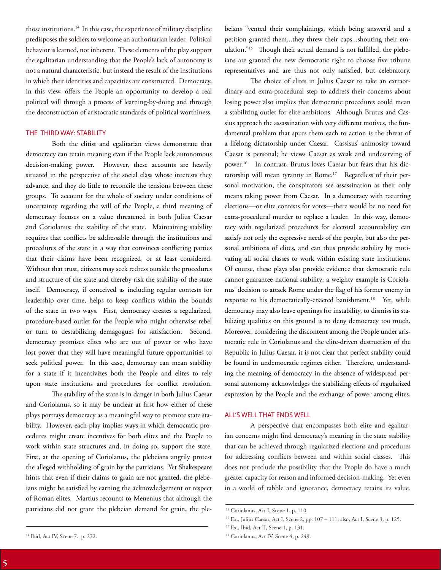those institutions.14 In this case, the experience of military discipline predisposes the soldiers to welcome an authoritarian leader. Political behavior is learned, not inherent. These elements of the play support the egalitarian understanding that the People's lack of autonomy is not a natural characteristic, but instead the result of the institutions in which their identities and capacities are constructed. Democracy, in this view, offers the People an opportunity to develop a real political will through a process of learning-by-doing and through the deconstruction of aristocratic standards of political worthiness.

#### THE THIRD WAY: STABILITY

Both the elitist and egalitarian views demonstrate that democracy can retain meaning even if the People lack autonomous decision-making power. However, these accounts are heavily situated in the perspective of the social class whose interests they advance, and they do little to reconcile the tensions between these groups. To account for the whole of society under conditions of uncertainty regarding the will of the People, a third meaning of democracy focuses on a value threatened in both Julius Caesar and Coriolanus: the stability of the state. Maintaining stability requires that conflicts be addressable through the institutions and procedures of the state in a way that convinces conflicting parties that their claims have been recognized, or at least considered. Without that trust, citizens may seek redress outside the procedures and structure of the state and thereby risk the stability of the state itself. Democracy, if conceived as including regular contests for leadership over time, helps to keep conflicts within the bounds of the state in two ways. First, democracy creates a regularized, procedure-based outlet for the People who might otherwise rebel or turn to destabilizing demagogues for satisfaction. Second, democracy promises elites who are out of power or who have lost power that they will have meaningful future opportunities to seek political power. In this case, democracy can mean stability for a state if it incentivizes both the People and elites to rely upon state institutions and procedures for conflict resolution.

The stability of the state is in danger in both Julius Caesar and Coriolanus, so it may be unclear at first how either of these plays portrays democracy as a meaningful way to promote state stability. However, each play implies ways in which democratic procedures might create incentives for both elites and the People to work within state structures and, in doing so, support the state. First, at the opening of Coriolanus, the plebeians angrily protest the alleged withholding of grain by the patricians. Yet Shakespeare hints that even if their claims to grain are not granted, the plebeians might be satisfied by earning the acknowledgement or respect of Roman elites. Martius recounts to Menenius that although the patricians did not grant the plebeian demand for grain, the plebeians "vented their complainings, which being answer'd and a petition granted them...they threw their caps...shouting their emulation."<sup>15</sup> Though their actual demand is not fulfilled, the plebeians are granted the new democratic right to choose five tribune representatives and are thus not only satisfied, but celebratory.

The choice of elites in Julius Caesar to take an extraordinary and extra-procedural step to address their concerns about losing power also implies that democratic procedures could mean a stabilizing outlet for elite ambitions. Although Brutus and Cassius approach the assassination with very different motives, the fundamental problem that spurs them each to action is the threat of a lifelong dictatorship under Caesar. Cassisus' animosity toward Caesar is personal; he views Caesar as weak and undeserving of power.16 In contrast, Brutus loves Caesar but fears that his dictatorship will mean tyranny in Rome.<sup>17</sup> Regardless of their personal motivation, the conspirators see assassination as their only means taking power from Caesar. In a democracy with recurring elections—or elite contests for votes—there would be no need for extra-procedural murder to replace a leader. In this way, democracy with regularized procedures for electoral accountability can satisfy not only the expressive needs of the people, but also the personal ambitions of elites, and can thus provide stability by motivating all social classes to work within existing state institutions. Of course, these plays also provide evidence that democratic rule cannot guarantee national stability: a weighty example is Coriolanus' decision to attack Rome under the flag of his former enemy in response to his democratically-enacted banishment.<sup>18</sup> Yet, while democracy may also leave openings for instability, to dismiss its stabilizing qualities on this ground is to deny democracy too much. Moreover, considering the discontent among the People under aristocratic rule in Coriolanus and the elite-driven destruction of the Republic in Julius Caesar, it is not clear that perfect stability could be found in undemocratic regimes either. Therefore, understanding the meaning of democracy in the absence of widespread personal autonomy acknowledges the stabilizing effects of regularized expression by the People and the exchange of power among elites.

#### ALL'S WELL THAT ENDS WELL

A perspective that encompasses both elite and egalitarian concerns might find democracy's meaning in the state stability that can be achieved through regularized elections and procedures for addressing conflicts between and within social classes. This does not preclude the possibility that the People do have a much greater capacity for reason and informed decision-making. Yet even in a world of rabble and ignorance, democracy retains its value.

<sup>&</sup>lt;sup>15</sup> Coriolanus, Act I, Scene 1. p. 110.

<sup>16</sup> Ex., Julius Caesar, Act I, Scene 2, pp. 107 – 111; also, Act I, Scene 3, p. 125.

<sup>17</sup> Ex., Ibid, Act II, Scene 1, p. 131.

<sup>&</sup>lt;sup>18</sup> Coriolanus, Act IV, Scene 4, p. 249.

<sup>&</sup>lt;sup>14</sup> Ibid, Act IV, Scene 7. p. 272.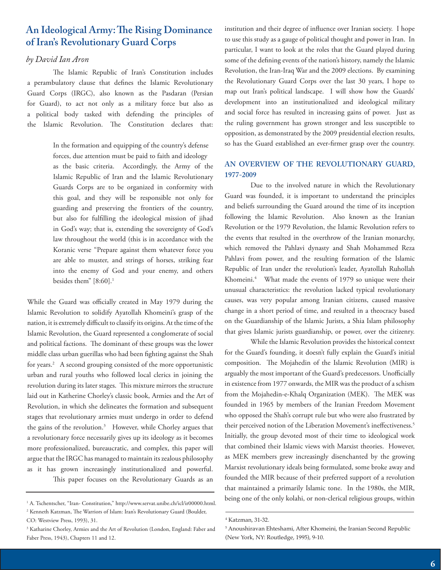## **An Ideological Army: The Rising Dominance of Iran's Revolutionary Guard Corps**

## *by David Ian Aron*

The Islamic Republic of Iran's Constitution includes a perambulatory clause that defines the Islamic Revolutionary Guard Corps (IRGC), also known as the Pasdaran (Persian for Guard), to act not only as a military force but also as a political body tasked with defending the principles of the Islamic Revolution. The Constitution declares that:

> In the formation and equipping of the country's defense forces, due attention must be paid to faith and ideology as the basic criteria. Accordingly, the Army of the Islamic Republic of Iran and the Islamic Revolutionary Guards Corps are to be organized in conformity with this goal, and they will be responsible not only for guarding and preserving the frontiers of the country, but also for fulfilling the ideological mission of jihad in God's way; that is, extending the sovereignty of God's law throughout the world (this is in accordance with the Koranic verse "Prepare against them whatever force you are able to muster, and strings of horses, striking fear into the enemy of God and your enemy, and others besides them" [8:60].<sup>1</sup>

While the Guard was officially created in May 1979 during the Islamic Revolution to solidify Ayatollah Khomeini's grasp of the nation, it is extremely difficult to classify its origins. At the time of the Islamic Revolution, the Guard represented a conglomerate of social and political factions. The dominant of these groups was the lower middle class urban guerillas who had been fighting against the Shah for years.<sup>2</sup> A second grouping consisted of the more opportunistic urban and rural youths who followed local clerics in joining the revolution during its later stages. This mixture mirrors the structure laid out in Katherine Chorley's classic book, Armies and the Art of Revolution, in which she delineates the formation and subsequent stages that revolutionary armies must undergo in order to defend the gains of the revolution.3 However, while Chorley argues that a revolutionary force necessarily gives up its ideology as it becomes more professionalized, bureaucratic, and complex, this paper will argue that the IRGC has managed to maintain its zealous philosophy as it has grown increasingly institutionalized and powerful. This paper focuses on the Revolutionary Guards as an

institution and their degree of influence over Iranian society. I hope to use this study as a gauge of political thought and power in Iran. In particular, I want to look at the roles that the Guard played during some of the defining events of the nation's history, namely the Islamic Revolution, the Iran-Iraq War and the 2009 elections. By examining the Revolutionary Guard Corps over the last 30 years, I hope to map out Iran's political landscape. I will show how the Guards' development into an institutionalized and ideological military and social force has resulted in increasing gains of power. Just as the ruling government has grown stronger and less susceptible to opposition, as demonstrated by the 2009 presidential election results, so has the Guard established an ever-firmer grasp over the country.

## **AN OVERVIEW OF THE REVOLUTIONARY GUARD, 1977-2009**

Due to the involved nature in which the Revolutionary Guard was founded, it is important to understand the principles and beliefs surrounding the Guard around the time of its inception following the Islamic Revolution. Also known as the Iranian Revolution or the 1979 Revolution, the Islamic Revolution refers to the events that resulted in the overthrow of the Iranian monarchy, which removed the Pahlavi dynasty and Shah Mohammed Reza Pahlavi from power, and the resulting formation of the Islamic Republic of Iran under the revolution's leader, Ayatollah Ruhollah Khomeini.4 What made the events of 1979 so unique were their unusual characteristics: the revolution lacked typical revolutionary causes, was very popular among Iranian citizens, caused massive change in a short period of time, and resulted in a theocracy based on the Guardianship of the Islamic Jurists, a Shia Islam philosophy that gives Islamic jurists guardianship, or power, over the citizenry.

While the Islamic Revolution provides the historical context for the Guard's founding, it doesn't fully explain the Guard's initial composition. The Mojahedin of the Islamic Revolution (MIR) is arguably the most important of the Guard's predecessors. Unofficially in existence from 1977 onwards, the MIR was the product of a schism from the Mojahedin-e-Khalq Organization (MEK). The MEK was founded in 1965 by members of the Iranian Freedom Movement who opposed the Shah's corrupt rule but who were also frustrated by their perceived notion of the Liberation Movement's ineffectiveness.<sup>5</sup> Initially, the group devoted most of their time to ideological work that combined their Islamic views with Marxist theories. However, as MEK members grew increasingly disenchanted by the growing Marxist revolutionary ideals being formulated, some broke away and founded the MIR because of their preferred support of a revolution that maintained a primarily Islamic tone. In the 1980s, the MIR, being one of the only kolahi, or non-clerical religious groups, within 1

<sup>&</sup>lt;sup>1</sup> A. Tschentscher, "Iran- Constitution," http://www.servat.unibe.ch/icl/ir00000.html. 2 Kenneth Katzman, The Warriors of Islam: Iran's Revolutionary Guard (Boulder,

CO: Westview Press, 1993), 31.

<sup>3</sup> Katharine Chorley, Armies and the Art of Revolution (London, England: Faber and Faber Press, 1943), Chapters 11 and 12.

<sup>4</sup> Katzman, 31-32.

<sup>5</sup> Anoushiravan Ehteshami, After Khomeini, the Iranian Second Republic (New York, NY: Routledge, 1995), 9-10.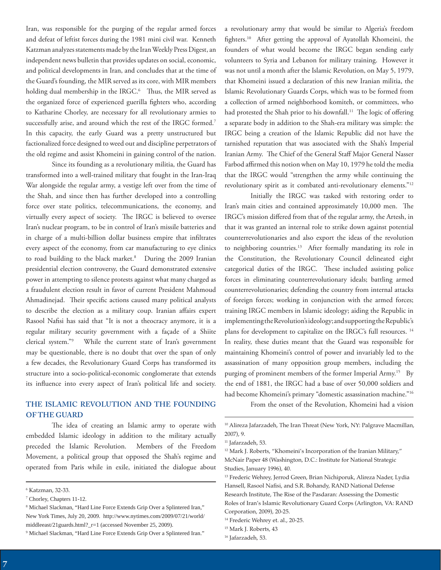Iran, was responsible for the purging of the regular armed forces and defeat of leftist forces during the 1981 mini civil war. Kenneth Katzman analyzes statements made by the Iran Weekly Press Digest, an independent news bulletin that provides updates on social, economic, and political developments in Iran, and concludes that at the time of the Guard's founding, the MIR served as its core, with MIR members holding dual membership in the IRGC.<sup>6</sup> Thus, the MIR served as the organized force of experienced guerilla fighters who, according to Katharine Chorley, are necessary for all revolutionary armies to successfully arise, and around which the rest of the IRGC formed.<sup>7</sup> In this capacity, the early Guard was a pretty unstructured but factionalized force designed to weed out and discipline perpetrators of the old regime and assist Khomeini in gaining control of the nation.

Since its founding as a revolutionary militia, the Guard has transformed into a well-trained military that fought in the Iran-Iraq War alongside the regular army, a vestige left over from the time of the Shah, and since then has further developed into a controlling force over state politics, telecommunications, the economy, and virtually every aspect of society. The IRGC is believed to oversee Iran's nuclear program, to be in control of Iran's missile batteries and in charge of a multi-billion dollar business empire that infiltrates every aspect of the economy, from car manufacturing to eye clinics to road building to the black market.<sup>8</sup> During the 2009 Iranian presidential election controversy, the Guard demonstrated extensive power in attempting to silence protests against what many charged as a fraudulent election result in favor of current President Mahmoud Ahmadinejad. Their specific actions caused many political analysts to describe the election as a military coup. Iranian affairs expert Rasool Nafisi has said that "It is not a theocracy anymore, it is a regular military security government with a façade of a Shiite clerical system."9 While the current state of Iran's government may be questionable, there is no doubt that over the span of only a few decades, the Revolutionary Guard Corps has transformed its structure into a socio-political-economic conglomerate that extends its influence into every aspect of Iran's political life and society.

## **THE ISLAMIC REVOLUTION AND THE FOUNDING OF THE GUARD**

The idea of creating an Islamic army to operate with embedded Islamic ideology in addition to the military actually preceded the Islamic Revolution. Members of the Freedom Movement, a political group that opposed the Shah's regime and operated from Paris while in exile, initiated the dialogue about

9 Michael Slackman, "Hard Line Force Extends Grip Over a Splintered Iran."

a revolutionary army that would be similar to Algeria's freedom fighters.10 After getting the approval of Ayatollah Khomeini, the founders of what would become the IRGC began sending early volunteers to Syria and Lebanon for military training. However it was not until a month after the Islamic Revolution, on May 5, 1979, that Khomeini issued a declaration of this new Iranian militia, the Islamic Revolutionary Guards Corps, which was to be formed from a collection of armed neighborhood komiteh, or committees, who had protested the Shah prior to his downfall.<sup>11</sup> The logic of offering a separate body in addition to the Shah-era military was simple: the IRGC being a creation of the Islamic Republic did not have the tarnished reputation that was associated with the Shah's Imperial Iranian Army. The Chief of the General Staff Major General Nasser Farbod affirmed this notion when on May 10, 1979 he told the media that the IRGC would "strengthen the army while continuing the revolutionary spirit as it combated anti-revolutionary elements."12

Initially the IRGC was tasked with restoring order to Iran's main cities and contained approximately 10,000 men. The IRGC's mission differed from that of the regular army, the Artesh, in that it was granted an internal role to strike down against potential counterrevolutionaries and also export the ideas of the revolution to neighboring countries.<sup>13</sup> After formally mandating its role in the Constitution, the Revolutionary Council delineated eight categorical duties of the IRGC. These included assisting police forces in eliminating counterrevolutionary ideals; battling armed counterrevolutionaries; defending the country from internal attacks of foreign forces; working in conjunction with the armed forces; training IRGC members in Islamic ideology; aiding the Republic in implementing the Revolution's ideology; and supporting the Republic's plans for development to capitalize on the IRGC's full resources.<sup>14</sup> In reality, these duties meant that the Guard was responsible for maintaining Khomeini's control of power and invariably led to the assassination of many opposition group members, including the purging of prominent members of the former Imperial Army.<sup>15</sup> By the end of 1881, the IRGC had a base of over 50,000 soldiers and had become Khomeini's primary "domestic assassination machine."<sup>16</sup>

From the onset of the Revolution, Khomeini had a vision

<sup>6</sup> Katzman, 32-33.

<sup>7</sup> Chorley, Chapters 11-12.

<sup>8</sup> Michael Slackman, "Hard Line Force Extends Grip Over a Splintered Iran," New York Times, July 20, 2009. http://www.nytimes.com/2009/07/21/world/ middleeast/21guards.html?\_r=1 (accessed November 25, 2009).

<sup>&</sup>lt;sup>10</sup> Alireza Jafarzadeh, The Iran Threat (New York, NY: Palgrave Macmillan, 2007), 9.

<sup>&</sup>lt;sup>11</sup> Jafarzadeh, 53.

<sup>&</sup>lt;sup>12</sup> Mark J. Roberts, "Khomeini's Incorporation of the Iranian Military," McNair Paper 48 (Washington, D.C.: Institute for National Strategic Studies, January 1996), 40.

<sup>&</sup>lt;sup>13</sup> Frederic Wehrey, Jerrod Green, Brian Nichiporuk, Alireza Nader, Lydia Hansell, Rasool Nafisi, and S.R. Bohandy, RAND National Defense Research Institute, The Rise of the Pasdaran: Assessing the Domestic Roles of Iran's Islamic Revolutionary Guard Corps (Arlington, VA: RAND Corporation, 2009), 20-25.

<sup>&</sup>lt;sup>14</sup> Frederic Wehrey et. al., 20-25.

<sup>15</sup> Mark J. Roberts, 43

<sup>&</sup>lt;sup>16</sup> Jafarzadeh, 53.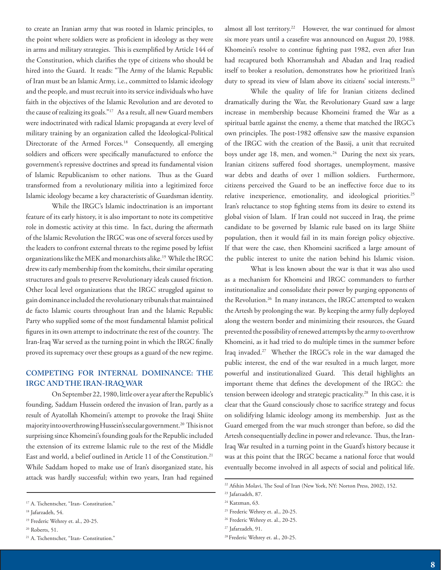to create an Iranian army that was rooted in Islamic principles, to the point where soldiers were as proficient in ideology as they were in arms and military strategies. This is exemplified by Article 144 of the Constitution, which clarifies the type of citizens who should be hired into the Guard. It reads: "The Army of the Islamic Republic of Iran must be an Islamic Army, i.e., committed to Islamic ideology and the people, and must recruit into its service individuals who have faith in the objectives of the Islamic Revolution and are devoted to the cause of realizing its goals."17 As a result, all new Guard members were indoctrinated with radical Islamic propaganda at every level of military training by an organization called the Ideological-Political Directorate of the Armed Forces.<sup>18</sup> Consequently, all emerging soldiers and officers were specifically manufactured to enforce the government's repressive doctrines and spread its fundamental vision of Islamic Republicanism to other nations. Thus as the Guard transformed from a revolutionary militia into a legitimized force Islamic ideology became a key characteristic of Guardsman identity.

While the IRGC's Islamic indoctrination is an important feature of its early history, it is also important to note its competitive role in domestic activity at this time. In fact, during the aftermath of the Islamic Revolution the IRGC was one of several forces used by the leaders to confront external threats to the regime posed by leftist organizations like the MEK and monarchists alike.<sup>19</sup> While the IRGC drew its early membership from the komitehs, their similar operating structures and goals to preserve Revolutionary ideals caused friction. Other local level organizations that the IRGC struggled against to gain dominance included the revolutionary tribunals that maintained de facto Islamic courts throughout Iran and the Islamic Republic Party who supplied some of the most fundamental Islamist political figures in its own attempt to indoctrinate the rest of the country. The Iran-Iraq War served as the turning point in which the IRGC finally proved its supremacy over these groups as a guard of the new regime.

## **COMPETING FOR INTERNAL DOMINANCE: THE IRGC AND THE IRAN-IRAQ WAR**

On September 22, 1980, little over a year after the Republic's founding, Saddam Hussein ordered the invasion of Iran, partly as a result of Ayatollah Khomeini's attempt to provoke the Iraqi Shiite majority into overthrowing Hussein's secular government.20 This is not surprising since Khomeini's founding goals for the Republic included the extension of its extreme Islamic rule to the rest of the Middle East and world, a belief outlined in Article 11 of the Constitution.<sup>21</sup> While Saddam hoped to make use of Iran's disorganized state, his attack was hardly successful; within two years, Iran had regained

almost all lost territory.<sup>22</sup> However, the war continued for almost six more years until a ceasefire was announced on August 20, 1988. Khomeini's resolve to continue fighting past 1982, even after Iran had recaptured both Khorramshah and Abadan and Iraq readied itself to broker a resolution, demonstrates how he prioritized Iran's duty to spread its view of Islam above its citizens' social interests.<sup>23</sup>

While the quality of life for Iranian citizens declined dramatically during the War, the Revolutionary Guard saw a large increase in membership because Khomeini framed the War as a spiritual battle against the enemy, a theme that matched the IRGC's own principles. The post-1982 offensive saw the massive expansion of the IRGC with the creation of the Bassij, a unit that recruited boys under age 18, men, and women.<sup>24</sup> During the next six years, Iranian citizens suffered food shortages, unemployment, massive war debts and deaths of over 1 million soldiers. Furthermore, citizens perceived the Guard to be an ineffective force due to its relative inexperience, emotionality, and ideological priorities.<sup>25</sup> Iran's reluctance to stop fighting stems from its desire to extend its global vision of Islam. If Iran could not succeed in Iraq, the prime candidate to be governed by Islamic rule based on its large Shiite population, then it would fail in its main foreign policy objective. If that were the case, then Khomeini sacrificed a large amount of the public interest to unite the nation behind his Islamic vision.

What is less known about the war is that it was also used as a mechanism for Khomeini and IRGC commanders to further institutionalize and consolidate their power by purging opponents of the Revolution.<sup>26</sup> In many instances, the IRGC attempted to weaken the Artesh by prolonging the war. By keeping the army fully deployed along the western border and minimizing their resources, the Guard prevented the possibility of renewed attempts by the army to overthrow Khomeini, as it had tried to do multiple times in the summer before Iraq invaded.27 Whether the IRGC's role in the war damaged the public interest, the end of the war resulted in a much larger, more powerful and institutionalized Guard. This detail highlights an important theme that defines the development of the IRGC: the tension between ideology and strategic practicality.<sup>28</sup> In this case, it is clear that the Guard consciously chose to sacrifice strategy and focus on solidifying Islamic ideology among its membership. Just as the Guard emerged from the war much stronger than before, so did the Artesh consequentially decline in power and relevance. Thus, the Iran-Iraq War resulted in a turning point in the Guard's history because it was at this point that the IRGC became a national force that would eventually become involved in all aspects of social and political life.

<sup>&</sup>lt;sup>17</sup> A. Tschentscher, "Iran- Constitution."

<sup>18</sup> Jafarzadeh, 54.

<sup>19</sup> Frederic Wehrey et. al., 20-25.

<sup>20</sup> Roberts, 51.

<sup>21</sup> A. Tschentscher, "Iran- Constitution."

<sup>22</sup> Afshin Molavi, The Soul of Iran (New York, NY: Norton Press, 2002), 152.

<sup>23</sup> Jafarzadeh, 87.

<sup>&</sup>lt;sup>24</sup> Katzman, 63.

<sup>25</sup> Frederic Wehrey et. al., 20-25.

<sup>26</sup> Frederic Wehrey et. al., 20-25.

<sup>27</sup> Jafarzadeh, 91.

<sup>28</sup> Frederic Wehrey et. al., 20-25.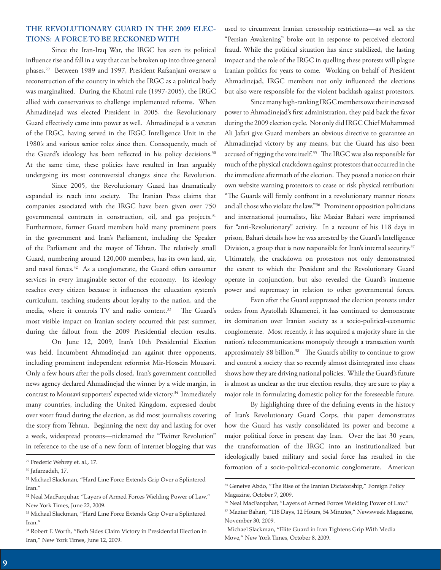## **THE REVOLUTIONARY GUARD IN THE 2009 ELEC-TIONS: A FORCE TO BE RECKONED WITH**

Since the Iran-Iraq War, the IRGC has seen its political influence rise and fall in a way that can be broken up into three general phases.29 Between 1989 and 1997, President Rafsanjani oversaw a reconstruction of the country in which the IRGC as a political body was marginalized. During the Khatmi rule (1997-2005), the IRGC allied with conservatives to challenge implemented reforms. When Ahmadinejad was elected President in 2005, the Revolutionary Guard effectively came into power as well. Ahmadinejad is a veteran of the IRGC, having served in the IRGC Intelligence Unit in the 1980's and various senior roles since then. Consequently, much of the Guard's ideology has been reflected in his policy decisions.<sup>30</sup> At the same time, these policies have resulted in Iran arguably undergoing its most controversial changes since the Revolution.

Since 2005, the Revolutionary Guard has dramatically expanded its reach into society. The Iranian Press claims that companies associated with the IRGC have been given over 750 governmental contracts in construction, oil, and gas projects.<sup>31</sup> Furthermore, former Guard members hold many prominent posts in the government and Iran's Parliament, including the Speaker of the Parliament and the mayor of Tehran. The relatively small Guard, numbering around 120,000 members, has its own land, air, and naval forces.<sup>32</sup> As a conglomerate, the Guard offers consumer services in every imaginable sector of the economy. Its ideology reaches every citizen because it influences the education system's curriculum, teaching students about loyalty to the nation, and the media, where it controls TV and radio content.<sup>33</sup> The Guard's most visible impact on Iranian society occurred this past summer, during the fallout from the 2009 Presidential election results.

On June 12, 2009, Iran's 10th Presidential Election was held. Incumbent Ahmadinejad ran against three opponents, including prominent independent reformist Mir-Hossein Mousavi. Only a few hours after the polls closed, Iran's government controlled news agency declared Ahmadinejad the winner by a wide margin, in contrast to Mousavi supporters' expected wide victory.<sup>34</sup> Immediately many countries, including the United Kingdom, expressed doubt over voter fraud during the election, as did most journalists covering the story from Tehran. Beginning the next day and lasting for over a week, widespread protests—nicknamed the "Twitter Revolution" in reference to the use of a new form of internet blogging that was

used to circumvent Iranian censorship restrictions—as well as the "Persian Awakening" broke out in response to perceived electoral fraud. While the political situation has since stabilized, the lasting impact and the role of the IRGC in quelling these protests will plague Iranian politics for years to come. Working on behalf of President Ahmadinejad, IRGC members not only influenced the elections but also were responsible for the violent backlash against protestors.

Since many high-ranking IRGC members owe their increased power to Ahmadinejad's first administration, they paid back the favor during the 2009 election cycle. Not only did IRGC Chief Mohammed Ali Jafari give Guard members an obvious directive to guarantee an Ahmadinejad victory by any means, but the Guard has also been accused of rigging the vote itself.<sup>35</sup> The IRGC was also responsible for much of the physical crackdown against protestors that occurred in the the immediate aftermath of the election. They posted a notice on their own website warning protestors to cease or risk physical retribution: "The Guards will firmly confront in a revolutionary manner rioters and all those who violate the law."36 Prominent opposition politicians and international journalists, like Maziar Bahari were imprisoned for "anti-Revolutionary" activity. In a recount of his 118 days in prison, Bahari details how he was arrested by the Guard's Intelligence Division, a group that is now responsible for Iran's internal security.<sup>37</sup> Ultimately, the crackdown on protestors not only demonstrated the extent to which the President and the Revolutionary Guard operate in conjunction, but also revealed the Guard's immense power and supremacy in relation to other governmental forces.

Even after the Guard suppressed the election protests under orders from Ayatollah Khamenei, it has continued to demonstrate its domination over Iranian society as a socio-political-economic conglomerate. Most recently, it has acquired a majority share in the nation's telecommunications monopoly through a transaction worth approximately \$8 billion.<sup>38</sup> The Guard's ability to continue to grow and control a society that so recently almost disintegrated into chaos shows how they are driving national policies. While the Guard's future is almost as unclear as the true election results, they are sure to play a major role in formulating domestic policy for the foreseeable future.

By highlighting three of the defining events in the history of Iran's Revolutionary Guard Corps, this paper demonstrates how the Guard has vastly consolidated its power and become a major political force in present day Iran. Over the last 30 years, the transformation of the IRGC into an institutionalized but ideologically based military and social force has resulted in the formation of a socio-political-economic conglomerate. American

<sup>29</sup> Frederic Wehrey et. al., 17.

<sup>30</sup> Jafarzadeh, 17.

<sup>&</sup>lt;sup>31</sup> Michael Slackman, "Hard Line Force Extends Grip Over a Splintered Iran."

<sup>&</sup>lt;sup>32</sup> Neal MacFarquhar, "Layers of Armed Forces Wielding Power of Law," New York Times, June 22, 2009.

<sup>33</sup> Michael Slackman, "Hard Line Force Extends Grip Over a Splintered Iran."

<sup>34</sup> Robert F. Worth, "Both Sides Claim Victory in Presidential Election in Iran," New York Times, June 12, 2009.

<sup>&</sup>lt;sup>35</sup> Geneive Abdo, "The Rise of the Iranian Dictatorship," Foreign Policy Magazine, October 7, 2009.

<sup>&</sup>lt;sup>36</sup> Neal MacFarquhar, "Layers of Armed Forces Wielding Power of Law."

<sup>37</sup> Maziar Bahari, "118 Days, 12 Hours, 54 Minutes," Newsweek Magazine, November 30, 2009.

Michael Slackman, "Elite Guard in Iran Tightens Grip With Media Move," New York Times, October 8, 2009.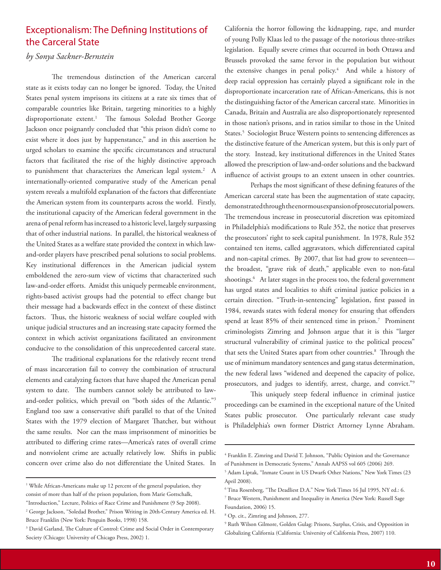# Exceptionalism: The Defining Institutions of the Carceral State

## *by Sonya Sackner-Bernstein*

The tremendous distinction of the American carceral state as it exists today can no longer be ignored. Today, the United States penal system imprisons its citizens at a rate six times that of comparable countries like Britain, targeting minorities to a highly disproportionate extent.1 The famous Soledad Brother George Jackson once poignantly concluded that "this prison didn't come to exist where it does just by happenstance," and in this assertion he urged scholars to examine the specific circumstances and structural factors that facilitated the rise of the highly distinctive approach to punishment that characterizes the American legal system.<sup>2</sup> A internationally-oriented comparative study of the American penal system reveals a multifold explanation of the factors that differentiate the American system from its counterparts across the world. Firstly, the institutional capacity of the American federal government in the arena of penal reform has increased to a historic level, largely surpassing that of other industrial nations. In parallel, the historical weakness of the United States as a welfare state provided the context in which lawand-order players have prescribed penal solutions to social problems. Key institutional differences in the American judicial system emboldened the zero-sum view of victims that characterized such law-and-order efforts. Amidst this uniquely permeable environment, rights-based activist groups had the potential to effect change but their message had a backwards effect in the context of these distinct factors. Thus, the historic weakness of social welfare coupled with unique judicial structures and an increasing state capacity formed the context in which activist organizations facilitated an environment conducive to the consolidation of this unprecedented carceral state.

The traditional explanations for the relatively recent trend of mass incarceration fail to convey the combination of structural elements and catalyzing factors that have shaped the American penal system to date. The numbers cannot solely be attributed to lawand-order politics, which prevail on "both sides of the Atlantic."3 England too saw a conservative shift parallel to that of the United States with the 1979 election of Margaret Thatcher, but without the same results. Nor can the mass imprisonment of minorities be attributed to differing crime rates—America's rates of overall crime and nonviolent crime are actually relatively low. Shifts in public concern over crime also do not differentiate the United States. In California the horror following the kidnapping, rape, and murder of young Polly Klaas led to the passage of the notorious three-strikes legislation. Equally severe crimes that occurred in both Ottawa and Brussels provoked the same fervor in the population but without the extensive changes in penal policy.<sup>4</sup> And while a history of deep racial oppression has certainly played a significant role in the disproportionate incarceration rate of African-Americans, this is not the distinguishing factor of the American carceral state. Minorities in Canada, Britain and Australia are also disproportionately represented in those nation's prisons, and in ratios similar to those in the United States.<sup>5</sup> Sociologist Bruce Western points to sentencing differences as the distinctive feature of the American system, but this is only part of the story. Instead, key institutional differences in the United States allowed the prescription of law-and-order solutions and the backward influence of activist groups to an extent unseen in other countries.

Perhaps the most significant of these defining features of the American carceral state has been the augmentation of state capacity, demonstrated through the enormous expansion of prosecutorial powers. The tremendous increase in prosecutorial discretion was epitomized in Philadelphia's modifications to Rule 352, the notice that preserves the prosecutors' right to seek capital punishment. In 1978, Rule 352 contained ten items, called aggravators, which differentiated capital and non-capital crimes. By 2007, that list had grow to seventeen the broadest, "grave risk of death," applicable even to non-fatal shootings.6 At later stages in the process too, the federal government has urged states and localities to shift criminal justice policies in a certain direction. "Truth-in-sentencing" legislation, first passed in 1984, rewards states with federal money for ensuring that offenders spend at least 85% of their sentenced time in prison.<sup>7</sup> Prominent criminologists Zimring and Johnson argue that it is this "larger structural vulnerability of criminal justice to the political process" that sets the United States apart from other countries.<sup>8</sup> Through the use of minimum mandatory sentences and gang status determination, the new federal laws "widened and deepened the capacity of police, prosecutors, and judges to identify, arrest, charge, and convict."9

This uniquely steep federal influence in criminal justice proceedings can be examined in the exceptional nature of the United States public prosecutor. One particularly relevant case study is Philadelphia's own former District Attorney Lynne Abraham.

<sup>&</sup>lt;sup>1</sup> While African-Americans make up 12 percent of the general population, they consist of more than half of the prison population, from Marie Gottschalk,

<sup>&</sup>quot;Introduction," Lecture, Politics of Race Crime and Punishment (9 Sep 2008).

<sup>2</sup> George Jackson, "Soledad Brother," Prison Writing in 20th-Century America ed. H. Bruce Franklin (New York: Penguin Books, 1998) 158.

<sup>3</sup> David Garland, The Culture of Control: Crime and Social Order in Contemporary Society (Chicago: University of Chicago Press, 2002) 1.

<sup>4</sup> Franklin E. Zimring and David T. Johnson, "Public Opinion and the Governance of Punishment in Democratic Systems," Annals AAPSS vol 605 (2006) 269.

<sup>5</sup> Adam Liptak, "Inmate Count in US Dwarfs Other Nations," New York Times (23 April 2008).

<sup>6</sup> Tina Rosenberg, "The Deadliest D.A." New York Times 16 Jul 1995, NY ed.: 6.

<sup>7</sup> Bruce Western, Punishment and Inequality in America (New York: Russell Sage Foundation, 2006) 15.

<sup>8</sup> Op. cit., Zimring and Johnson, 277.

<sup>9</sup> Ruth Wilson Gilmore, Golden Gulag: Prisons, Surplus, Crisis, and Opposition in Globalizing California (California: University of California Press, 2007) 110.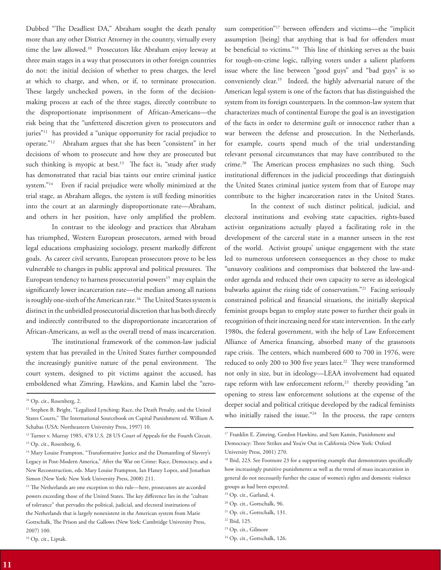Dubbed "The Deadliest DA," Abraham sought the death penalty more than any other District Attorney in the country, virtually every time the law allowed.10 Prosecutors like Abraham enjoy leeway at three main stages in a way that prosecutors in other foreign countries do not: the initial decision of whether to press charges, the level at which to charge, and when, or if, to terminate prosecution. These largely unchecked powers, in the form of the decisionmaking process at each of the three stages, directly contribute to the disproportionate imprisonment of African-Americans—the risk being that the "unfettered discretion given to prosecutors and juries"<sup>11</sup> has provided a "unique opportunity for racial prejudice to operate."12 Abraham argues that she has been "consistent" in her decisions of whom to prosecute and how they are prosecuted but such thinking is myopic at best.<sup>13</sup> The fact is, "study after study has demonstrated that racial bias taints our entire criminal justice system."14 Even if racial prejudice were wholly minimized at the trial stage, as Abraham alleges, the system is still feeding minorities into the court at an alarmingly disproportionate rate—Abraham, and others in her position, have only amplified the problem.

In contrast to the ideology and practices that Abraham has triumphed, Western European prosecutors, armed with broad legal educations emphasizing sociology, present markedly different goals. As career civil servants, European prosecutors prove to be less vulnerable to changes in public approval and political pressures. The European tendency to harness prosecutorial powers<sup>15</sup> may explain the significantly lower incarceration rate—the median among all nations is roughly one-sixth of the American rate.<sup>16</sup> The United States system is distinct in the unbridled prosecutorial discretion that has both directly and indirectly contributed to the disproportionate incarceration of African-Americans, as well as the overall trend of mass incarceration.

The institutional framework of the common-law judicial system that has prevailed in the United States further compounded the increasingly punitive nature of the penal environment. The court system, designed to pit victims against the accused, has emboldened what Zimring, Hawkins, and Kamin label the "zerosum competition"17 between offenders and victims—the "implicit assumption [being] that anything that is bad for offenders must be beneficial to victims."18 This line of thinking serves as the basis for tough-on-crime logic, rallying voters under a salient platform issue where the line between "good guys" and "bad guys" is so conveniently clear.19 Indeed, the highly adversarial nature of the American legal system is one of the factors that has distinguished the system from its foreign counterparts. In the common-law system that characterizes much of continental Europe the goal is an investigation of the facts in order to determine guilt or innocence rather than a war between the defense and prosecution. In the Netherlands, for example, courts spend much of the trial understanding relevant personal circumstances that may have contributed to the crime.<sup>20</sup> The American process emphasizes no such thing. Such institutional differences in the judicial proceedings that distinguish the United States criminal justice system from that of Europe may contribute to the higher incarceration rates in the United States.

In the context of such distinct political, judicial, and electoral institutions and evolving state capacities, rights-based activist organizations actually played a facilitating role in the development of the carceral state in a manner unseen in the rest of the world. Activist groups' unique engagement with the state led to numerous unforeseen consequences as they chose to make "unsavory coalitions and compromises that bolstered the law-andorder agenda and reduced their own capacity to serve as ideological bulwarks against the rising tide of conservatism."<sup>21</sup> Facing seriously constrained political and financial situations, the initially skeptical feminist groups began to employ state power to further their goals in recognition of their increasing need for state intervention. In the early 1980s, the federal government, with the help of Law Enforcement Alliance of America financing, absorbed many of the grassroots rape crisis. The centers, which numbered 600 to 700 in 1976, were reduced to only 200 to 300 five years later.<sup>22</sup> They were transformed not only in size, but in ideology—LEAA involvement had equated rape reform with law enforcement reform,<sup>23</sup> thereby providing "an opening to stress law enforcement solutions at the expense of the deeper social and political critique developed by the radical feminists who initially raised the issue."<sup>24</sup> In the process, the rape centers

24 Op. cit., Gottschalk, 126.

<sup>&</sup>lt;sup>10</sup> Op. cit., Rosenberg, 2.

<sup>&</sup>lt;sup>11</sup> Stephen B. Bright, "Legalized Lynching: Race, the Death Penalty, and the United States Courts," The International Sourcebook on Capital Punishment ed. William A. Schabas (USA: Northeastern University Press, 1997) 10.

<sup>&</sup>lt;sup>12</sup> Turner v. Murray 1985, 478 U.S. 28 US Court of Appeals for the Fourth Circuit. <sup>13</sup> Op. cit., Rosenberg, 6.

<sup>&</sup>lt;sup>14</sup> Mary Louise Frampton, "Transformative Justice and the Dismantling of Slavery's Legacy in Post-Modern America," After the War on Crime: Race, Democracy, and a New Reconstruction, eds. Mary Louise Frampton, Ian Haney Lopez, and Jonathan Simon (New York: New York University Press, 2008) 211.

<sup>&</sup>lt;sup>15</sup> The Netherlands are one exception to this rule—here, prosecutors are accorded powers exceeding those of the United States. The key difference lies in the "culture of tolerance" that pervades the political, judicial, and electoral institutions of the Netherlands that is largely nonexistent in the American system from Marie Gottschalk, The Prison and the Gallows (New York: Cambridge University Press, 2007) 100.

<sup>&</sup>lt;sup>16</sup> Op. cit., Liptak.

<sup>&</sup>lt;sup>17</sup> Franklin E. Zimring, Gordon Hawkins, and Sam Kamin, Punishment and Democracy: Three Strikes and You're Out in California (New York: Oxford University Press, 2001) 270.

<sup>&</sup>lt;sup>18</sup> Ibid, 223. See Footnote 23 for a supporting example that demonstrates specifically how increasingly punitive punishments as well as the trend of mass incarceration in general do not necessarily further the cause of women's rights and domestic violence groups as had been expected.

<sup>19</sup> Op. cit., Garland, 4.

<sup>20</sup> Op. cit., Gottschalk, 96.

<sup>21</sup> Op. cit., Gottschalk, 131.

<sup>22</sup> Ibid, 125.

<sup>23</sup> Op. cit., Gilmore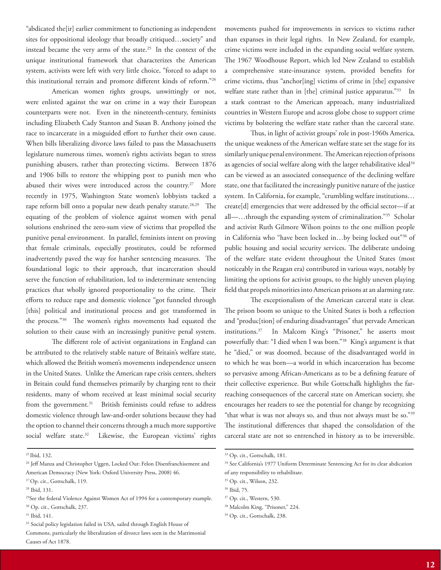"abdicated the[ir] earlier commitment to functioning as independent sites for oppositional ideology that broadly critiqued…society" and instead became the very arms of the state.<sup>25</sup> In the context of the unique institutional framework that characterizes the American system, activists were left with very little choice, "forced to adapt to this institutional terrain and promote different kinds of reform."26

American women rights groups, unwittingly or not, were enlisted against the war on crime in a way their European counterparts were not. Even in the nineteenth-century, feminists including Elizabeth Cady Stanton and Susan B. Anthony joined the race to incarcerate in a misguided effort to further their own cause. When bills liberalizing divorce laws failed to pass the Massachusetts legislature numerous times, women's rights activists began to stress punishing abusers, rather than protecting victims. Between 1876 and 1906 bills to restore the whipping post to punish men who abused their wives were introduced across the country.<sup>27</sup> More recently in 1975, Washington State women's lobbyists tacked a rape reform bill onto a popular new death penalty statute.<sup>28,29</sup> The equating of the problem of violence against women with penal solutions enshrined the zero-sum view of victims that propelled the punitive penal environment. In parallel, feminists intent on proving that female criminals, especially prostitutes, could be reformed inadvertently paved the way for harsher sentencing measures. The foundational logic to their approach, that incarceration should serve the function of rehabilitation, led to indeterminate sentencing practices that wholly ignored proportionality to the crime. Their efforts to reduce rape and domestic violence "got funneled through [this] political and institutional process and got transformed in the process."30 The women's rights movements had equated the solution to their cause with an increasingly punitive penal system.

The different role of activist organizations in England can be attributed to the relatively stable nature of Britain's welfare state, which allowed the British women's movements independence unseen in the United States. Unlike the American rape crisis centers, shelters in Britain could fund themselves primarily by charging rent to their residents, many of whom received at least minimal social security from the government.<sup>31</sup> British feminists could refuse to address domestic violence through law-and-order solutions because they had the option to channel their concerns through a much more supportive social welfare state.<sup>32</sup> Likewise, the European victims' rights

25 Ibid, 132.

movements pushed for improvements in services to victims rather than expanses in their legal rights. In New Zealand, for example, crime victims were included in the expanding social welfare system. The 1967 Woodhouse Report, which led New Zealand to establish a comprehensive state-insurance system, provided benefits for crime victims, thus "anchor[ing] victims of crime in [the] expansive welfare state rather than in [the] criminal justice apparatus."<sup>33</sup> In a stark contrast to the American approach, many industrialized countries in Western Europe and across globe chose to support crime victims by bolstering the welfare state rather than the carceral state.

Thus, in light of activist groups' role in post-1960s America, the unique weakness of the American welfare state set the stage for its similarly unique penal environment. The American rejection of prisons as agencies of social welfare along with the larger rehabilitative ideal<sup>34</sup> can be viewed as an associated consequence of the declining welfare state, one that facilitated the increasingly punitive nature of the justice system. In California, for example, "crumbling welfare institutions… create[d] emergencies that were addressed by the official sector—if at all-...through the expanding system of criminalization."<sup>35</sup> Scholar and activist Ruth Gilmore Wilson points to the one million people in California who "have been locked in...by being locked out"36 of public housing and social security services. The deliberate undoing of the welfare state evident throughout the United States (most noticeably in the Reagan era) contributed in various ways, notably by limiting the options for activist groups, to the highly uneven playing field that propels minorities into American prisons at an alarming rate.

The exceptionalism of the American carceral state is clear. The prison boom so unique to the United States is both a reflection and "produc[tion] of enduring disadvantages" that pervade American institutions.37 In Malcom King's "Prisoner," he asserts most powerfully that: "I died when I was born."<sup>38</sup> King's argument is that he "died," or was doomed, because of the disadvantaged world in to which he was born—a world in which incarceration has become so pervasive among African-Americans as to be a defining feature of their collective experience. But while Gottschalk highlights the farreaching consequences of the carceral state on American society, she encourages her readers to see the potential for change by recognizing "that what is was not always so, and thus not always must be so."39 The institutional differences that shaped the consolidation of the carceral state are not so entrenched in history as to be irreversible.

<sup>37</sup> Op. cit., Western, 530.

<sup>&</sup>lt;sup>26</sup> Jeff Manza and Christopher Uggen, Locked Out: Felon Disenfranchisement and American Democracy (New York: Oxford University Press, 2008) 46.

<sup>27</sup> Op. cit., Gottschalk, 119.

<sup>28</sup> Ibid, 131.

<sup>&</sup>lt;sup>29</sup>See the federal Violence Against Women Act of 1994 for a contemporary example. 30 Op. cit., Gottschalk, 237.

<sup>31</sup> Ibid, 141.

<sup>&</sup>lt;sup>32</sup> Social policy legislation failed in USA, sailed through English House of

Commons, particularly the liberalization of divorce laws seen in the Matrimonial Causes of Act 1878.

<sup>33</sup> Op. cit., Gottschalk, 181.

<sup>&</sup>lt;sup>34</sup> See California's 1977 Uniform Determinate Sentencing Act for its clear abdication of any responsibility to rehabilitate.

<sup>35</sup> Op. cit., Wilson, 232.

<sup>36</sup> Ibid, 75.

<sup>38</sup> Malcolm King, "Prisoner," 224.

<sup>39</sup> Op. cit., Gottschalk, 238.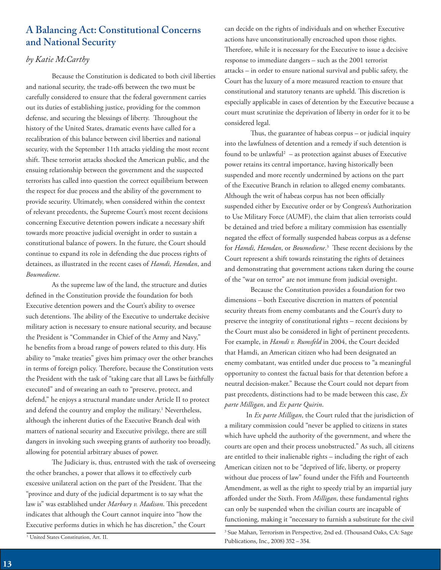# **A Balancing Act: Constitutional Concerns and National Security**

## *by Katie McCarthy*

Because the Constitution is dedicated to both civil liberties and national security, the trade-offs between the two must be carefully considered to ensure that the federal government carries out its duties of establishing justice, providing for the common defense, and securing the blessings of liberty. Throughout the history of the United States, dramatic events have called for a recalibration of this balance between civil liberties and national security, with the September 11th attacks yielding the most recent shift. These terrorist attacks shocked the American public, and the ensuing relationship between the government and the suspected terrorists has called into question the correct equilibrium between the respect for due process and the ability of the government to provide security. Ultimately, when considered within the context of relevant precedents, the Supreme Court's most recent decisions concerning Executive detention powers indicate a necessary shift towards more proactive judicial oversight in order to sustain a constitutional balance of powers. In the future, the Court should continue to expand its role in defending the due process rights of detainees, as illustrated in the recent cases of *Hamdi, Hamdan*, and *Boumediene*.

As the supreme law of the land, the structure and duties defined in the Constitution provide the foundation for both Executive detention powers and the Court's ability to oversee such detentions. The ability of the Executive to undertake decisive military action is necessary to ensure national security, and because the President is "Commander in Chief of the Army and Navy," he benefits from a broad range of powers related to this duty. His ability to "make treaties" gives him primacy over the other branches in terms of foreign policy. Therefore, because the Constitution vests the President with the task of "taking care that all Laws be faithfully executed" and of swearing an oath to "preserve, protect, and defend," he enjoys a structural mandate under Article II to protect and defend the country and employ the military.<sup>1</sup> Nevertheless, although the inherent duties of the Executive Branch deal with matters of national security and Executive privilege, there are still dangers in invoking such sweeping grants of authority too broadly, allowing for potential arbitrary abuses of power.

The Judiciary is, thus, entrusted with the task of overseeing the other branches, a power that allows it to effectively curb excessive unilateral action on the part of the President. That the "province and duty of the judicial department is to say what the law is" was established under *Marbury v. Madison*. This precedent indicates that although the Court cannot inquire into "how the Executive performs duties in which he has discretion," the Court

1 United States Constitution, Art. II.

can decide on the rights of individuals and on whether Executive actions have unconstitutionally encroached upon those rights. Therefore, while it is necessary for the Executive to issue a decisive response to immediate dangers – such as the 2001 terrorist attacks – in order to ensure national survival and public safety, the Court has the luxury of a more measured reaction to ensure that constitutional and statutory tenants are upheld. This discretion is especially applicable in cases of detention by the Executive because a court must scrutinize the deprivation of liberty in order for it to be considered legal.

Thus, the guarantee of habeas corpus – or judicial inquiry into the lawfulness of detention and a remedy if such detention is found to be unlawful $2 -$  as protection against abuses of Executive power retains its central importance, having historically been suspended and more recently undermined by actions on the part of the Executive Branch in relation to alleged enemy combatants. Although the writ of habeas corpus has not been officially suspended either by Executive order or by Congress's Authorization to Use Military Force (AUMF), the claim that alien terrorists could be detained and tried before a military commission has essentially negated the effect of formally suspended habeas corpus as a defense for *Hamdi, Hamdan*, or *Boumediene*. 3 These recent decisions by the Court represent a shift towards reinstating the rights of detainees and demonstrating that government actions taken during the course of the "war on terror" are not immune from judicial oversight.

Because the Constitution provides a foundation for two dimensions – both Executive discretion in matters of potential security threats from enemy combatants and the Court's duty to preserve the integrity of constitutional rights – recent decisions by the Court must also be considered in light of pertinent precedents. For example, in *Hamdi v. Rumsfeld* in 2004, the Court decided that Hamdi, an American citizen who had been designated an enemy combatant, was entitled under due process to "a meaningful opportunity to contest the factual basis for that detention before a neutral decision-maker." Because the Court could not depart from past precedents, distinctions had to be made between this case, *Ex parte Milligan*, and *Ex parte Quirin*.

 In *Ex parte Milligan*, the Court ruled that the jurisdiction of a military commission could "never be applied to citizens in states which have upheld the authority of the government, and where the courts are open and their process unobstructed." As such, all citizens are entitled to their inalienable rights – including the right of each American citizen not to be "deprived of life, liberty, or property without due process of law" found under the Fifth and Fourteenth Amendment, as well as the right to speedy trial by an impartial jury afforded under the Sixth. From *Milligan*, these fundamental rights can only be suspended when the civilian courts are incapable of functioning, making it "necessary to furnish a substitute for the civil

3 Sue Mahan, Terrorism in Perspective, 2nd ed. (Thousand Oaks, CA: Sage Publications, Inc., 2008) 352 – 354.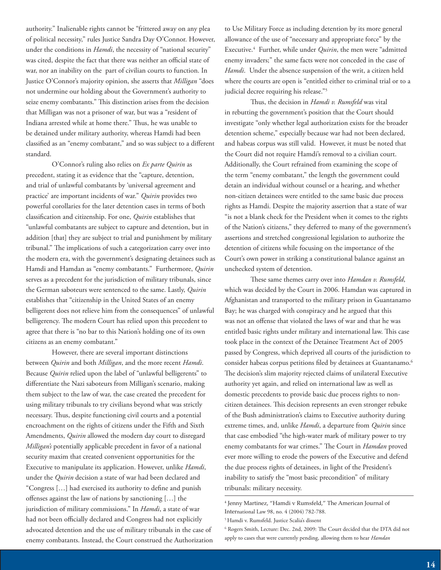authority." Inalienable rights cannot be "frittered away on any plea of political necessity," rules Justice Sandra Day O'Connor. However, under the conditions in *Hamdi*, the necessity of "national security" was cited, despite the fact that there was neither an official state of war, nor an inability on the part of civilian courts to function. In Justice O'Connor's majority opinion, she asserts that *Milligan* "does not undermine our holding about the Government's authority to seize enemy combatants." This distinction arises from the decision that Milligan was not a prisoner of war, but was a "resident of Indiana arrested while at home there." Thus, he was unable to be detained under military authority, whereas Hamdi had been classified as an "enemy combatant," and so was subject to a different standard.

O'Connor's ruling also relies on *Ex parte Quirin* as precedent, stating it as evidence that the "capture, detention, and trial of unlawful combatants by 'universal agreement and practice' are important incidents of war." *Quirin* provides two powerful corollaries for the later detention cases in terms of both classification and citizenship. For one, *Quirin* establishes that "unlawful combatants are subject to capture and detention, but in addition [that] they are subject to trial and punishment by military tribunal." The implications of such a categorization carry over into the modern era, with the government's designating detainees such as Hamdi and Hamdan as "enemy combatants." Furthermore, *Quirin* serves as a precedent for the jurisdiction of military tribunals, since the German saboteurs were sentenced to the same. Lastly, *Quirin* establishes that "citizenship in the United States of an enemy belligerent does not relieve him from the consequences" of unlawful belligerency. The modern Court has relied upon this precedent to agree that there is "no bar to this Nation's holding one of its own citizens as an enemy combatant."

However, there are several important distinctions between *Quirin* and both *Milligan*, and the more recent *Hamdi*. Because *Quirin* relied upon the label of "unlawful belligerents" to differentiate the Nazi saboteurs from Milligan's scenario, making them subject to the law of war, the case created the precedent for using military tribunals to try civilians beyond what was strictly necessary. Thus, despite functioning civil courts and a potential encroachment on the rights of citizens under the Fifth and Sixth Amendments, *Quirin* allowed the modern day court to disregard *Milligan's* potentially applicable precedent in favor of a national security maxim that created convenient opportunities for the Executive to manipulate its application. However, unlike *Hamdi*, under the *Quirin* decision a state of war had been declared and "Congress […] had exercised its authority to define and punish offenses against the law of nations by sanctioning […] the jurisdiction of military commissions." In *Hamdi*, a state of war had not been officially declared and Congress had not explicitly advocated detention and the use of military tribunals in the case of enemy combatants. Instead, the Court construed the Authorization to Use Military Force as including detention by its more general allowance of the use of "necessary and appropriate force" by the Executive.4 Further, while under *Quirin*, the men were "admitted enemy invaders;" the same facts were not conceded in the case of *Hamdi*. Under the absence suspension of the writ, a citizen held where the courts are open is "entitled either to criminal trial or to a judicial decree requiring his release."5

Thus, the decision in *Hamdi v. Rumsfeld* was vital in rebutting the government's position that the Court should investigate "only whether legal authorization exists for the broader detention scheme," especially because war had not been declared, and habeas corpus was still valid. However, it must be noted that the Court did not require Hamdi's removal to a civilian court. Additionally, the Court refrained from examining the scope of the term "enemy combatant," the length the government could detain an individual without counsel or a hearing, and whether non-citizen detainees were entitled to the same basic due process rights as Hamdi. Despite the majority assertion that a state of war "is not a blank check for the President when it comes to the rights of the Nation's citizens," they deferred to many of the government's assertions and stretched congressional legislation to authorize the detention of citizens while focusing on the importance of the Court's own power in striking a constitutional balance against an unchecked system of detention.

These same themes carry over into *Hamdan v. Rumsfeld*, which was decided by the Court in 2006. Hamdan was captured in Afghanistan and transported to the military prison in Guantanamo Bay; he was charged with conspiracy and he argued that this was not an offense that violated the laws of war and that he was entitled basic rights under military and international law. This case took place in the context of the Detainee Treatment Act of 2005 passed by Congress, which deprived all courts of the jurisdiction to consider habeas corpus petitions filed by detainees at Guantanamo.<sup>6</sup> The decision's slim majority rejected claims of unilateral Executive authority yet again, and relied on international law as well as domestic precedents to provide basic due process rights to noncitizen detainees. This decision represents an even stronger rebuke of the Bush administration's claims to Executive authority during extreme times, and, unlike *Hamdi*, a departure from *Quirin* since that case embodied "the high-water mark of military power to try enemy combatants for war crimes." The Court in *Hamdan* proved ever more willing to erode the powers of the Executive and defend the due process rights of detainees, in light of the President's inability to satisfy the "most basic precondition" of military tribunals: military necessity.

<sup>4</sup> Jenny Martinez, "Hamdi v Rumsfeld," The American Journal of International Law 98, no. 4 (2004) 782-788.

<sup>5</sup> Hamdi v. Rumsfeld. Justice Scalia's dissent

<sup>6</sup> Rogers Smith, Lecture: Dec. 2nd, 2009: The Court decided that the DTA did not apply to cases that were currently pending, allowing them to hear *Hamdan*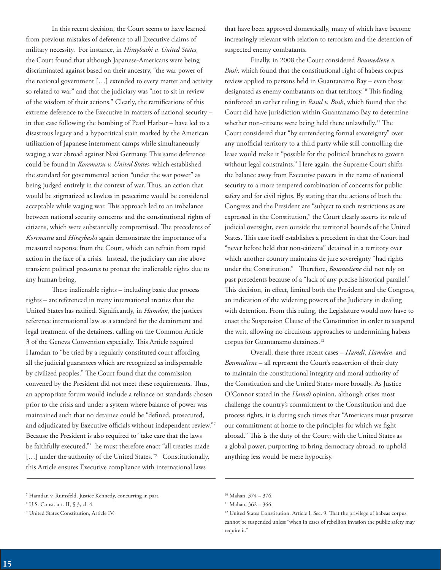In this recent decision, the Court seems to have learned from previous mistakes of deference to all Executive claims of military necessity. For instance, in *Hiraybashi v. United States,* the Court found that although Japanese-Americans were being discriminated against based on their ancestry, "the war power of the national government […] extended to every matter and activity so related to war" and that the judiciary was "not to sit in review of the wisdom of their actions." Clearly, the ramifications of this extreme deference to the Executive in matters of national security – in that case following the bombing of Pearl Harbor – have led to a disastrous legacy and a hypocritical stain marked by the American utilization of Japanese internment camps while simultaneously waging a war abroad against Nazi Germany. This same deference could be found in *Korematsu v. United States*, which established the standard for governmental action "under the war power" as being judged entirely in the context of war. Thus, an action that would be stigmatized as lawless in peacetime would be considered acceptable while waging war. This approach led to an imbalance between national security concerns and the constitutional rights of citizens, which were substantially compromised. The precedents of *Korematsu* and *Hiraybashi* again demonstrate the importance of a measured response from the Court, which can refrain from rapid action in the face of a crisis. Instead, the judiciary can rise above transient political pressures to protect the inalienable rights due to any human being.

These inalienable rights – including basic due process rights – are referenced in many international treaties that the United States has ratified. Significantly, in *Hamdan*, the justices reference international law as a standard for the detainment and legal treatment of the detainees, calling on the Common Article 3 of the Geneva Convention especially. This Article required Hamdan to "be tried by a regularly constituted court affording all the judicial guarantees which are recognized as indispensable by civilized peoples." The Court found that the commission convened by the President did not meet these requirements. Thus, an appropriate forum would include a reliance on standards chosen prior to the crisis and under a system where balance of power was maintained such that no detainee could be "defined, prosecuted, and adjudicated by Executive officials without independent review."7 Because the President is also required to "take care that the laws be faithfully executed,"8 he must therefore enact "all treaties made [...] under the authority of the United States."<sup>9</sup> Constitutionally, this Article ensures Executive compliance with international laws

that have been approved domestically, many of which have become increasingly relevant with relation to terrorism and the detention of suspected enemy combatants.

Finally, in 2008 the Court considered *Boumediene v. Bush,* which found that the constitutional right of habeas corpus review applied to persons held in Guantanamo Bay – even those designated as enemy combatants on that territory.<sup>10</sup> This finding reinforced an earlier ruling in *Rasul v. Bush*, which found that the Court did have jurisdiction within Guantanamo Bay to determine whether non-citizens were being held there unlawfully.<sup>11</sup> The Court considered that "by surrendering formal sovereignty" over any unofficial territory to a third party while still controlling the lease would make it "possible for the political branches to govern without legal constraints." Here again, the Supreme Court shifts the balance away from Executive powers in the name of national security to a more tempered combination of concerns for public safety and for civil rights. By stating that the actions of both the Congress and the President are "subject to such restrictions as are expressed in the Constitution," the Court clearly asserts its role of judicial oversight, even outside the territorial bounds of the United States. This case itself establishes a precedent in that the Court had "never before held that non-citizens" detained in a territory over which another country maintains de jure sovereignty "had rights under the Constitution." Therefore, *Boumediene* did not rely on past precedents because of a "lack of any precise historical parallel." This decision, in effect, limited both the President and the Congress, an indication of the widening powers of the Judiciary in dealing with detention. From this ruling, the Legislature would now have to enact the Suspension Clause of the Constitution in order to suspend the writ, allowing no circuitous approaches to undermining habeas corpus for Guantanamo detainees.<sup>12</sup>

Overall, these three recent cases – *Hamdi, Hamdan,* and *Boumediene* – all represent the Court's reassertion of their duty to maintain the constitutional integrity and moral authority of the Constitution and the United States more broadly. As Justice O'Connor stated in the *Hamdi* opinion, although crises most challenge the country's commitment to the Constitution and due process rights, it is during such times that "Americans must preserve our commitment at home to the principles for which we fight abroad." This is the duty of the Court; with the United States as a global power, purporting to bring democracy abroad, to uphold anything less would be mere hypocrisy.

<sup>7</sup> Hamdan v. Rumsfeld. Justice Kennedy, concurring in part.

<sup>8</sup> U.S. Const. art. II, § 3, cl. 4.

<sup>9</sup> United States Constitution, Article IV.

<sup>10</sup> Mahan, 374 – 376.

 $11$  Mahan, 362 – 366.

<sup>&</sup>lt;sup>12</sup> United States Constitution. Article I, Sec. 9: That the privilege of habeas corpus cannot be suspended unless "when in cases of rebellion invasion the public safety may require it."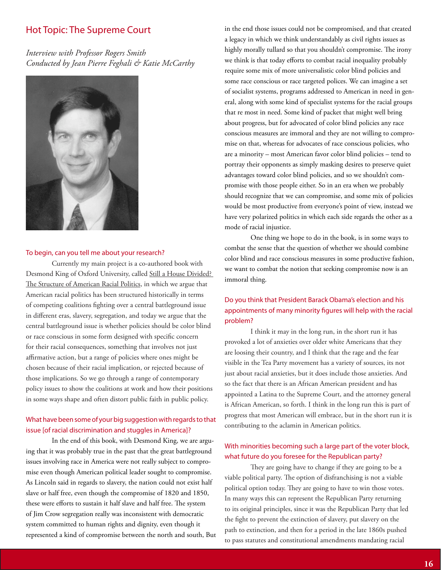## Hot Topic: The Supreme Court

*Interview with Professor Rogers Smith Conducted by Jean Pierre Feghali & Katie McCarthy*



#### To begin, can you tell me about your research?

Currently my main project is a co-authored book with Desmond King of Oxford University, called Still a House Divided? The Structure of American Racial Politics, in which we argue that American racial politics has been structured historically in terms of competing coalitions fighting over a central battleground issue in different eras, slavery, segregation, and today we argue that the central battleground issue is whether policies should be color blind or race conscious in some form designed with specific concern for their racial consequences, something that involves not just affirmative action, but a range of policies where ones might be chosen because of their racial implication, or rejected because of those implications. So we go through a range of contemporary policy issues to show the coalitions at work and how their positions in some ways shape and often distort public faith in public policy.

## What have been some of your big suggestion with regards to that issue [of racial discrimination and stuggles in America]?

In the end of this book, with Desmond King, we are arguing that it was probably true in the past that the great battleground issues involving race in America were not really subject to compromise even though American political leader sought to compromise. As Lincoln said in regards to slavery, the nation could not exist half slave or half free, even though the compromise of 1820 and 1850, these were efforts to sustain it half slave and half free. The system of Jim Crow segregation really was inconsistent with democratic system committed to human rights and dignity, even though it represented a kind of compromise between the north and south, But in the end those issues could not be compromised, and that created a legacy in which we think understandably as civil rights issues as highly morally tullard so that you shouldn't compromise. The irony we think is that today efforts to combat racial inequality probably require some mix of more universalistic color blind policies and some race conscious or race targeted polices. We can imagine a set of socialist systems, programs addressed to American in need in general, along with some kind of specialist systems for the racial groups that re most in need. Some kind of packet that might well bring about progress, but for advocated of color blind policies any race conscious measures are immoral and they are not willing to compromise on that, whereas for advocates of race conscious policies, who are a minority – most American favor color blind policies – tend to portray their opponents as simply masking desires to preserve quiet advantages toward color blind policies, and so we shouldn't compromise with those people either. So in an era when we probably should recognize that we can compromise, and some mix of policies would be most productive from everyone's point of view, instead we have very polarized politics in which each side regards the other as a mode of racial injustice.

One thing we hope to do in the book, is in some ways to combat the sense that the question of whether we should combine color blind and race conscious measures in some productive fashion, we want to combat the notion that seeking compromise now is an immoral thing.

## Do you think that President Barack Obama's election and his appointments of many minority figures will help with the racial problem?

I think it may in the long run, in the short run it has provoked a lot of anxieties over older white Americans that they are loosing their country, and I think that the rage and the fear visible in the Tea Party movement has a variety of sources, its not just about racial anxieties, but it does include those anxieties. And so the fact that there is an African American president and has appointed a Latina to the Supreme Court, and the attorney general is African American, so forth. I think in the long run this is part of progress that most American will embrace, but in the short run it is contributing to the aclamin in American politics.

### With minorities becoming such a large part of the voter block, what future do you foresee for the Republican party?

They are going have to change if they are going to be a viable political party. The option of disfranchising is not a viable political option today. They are going to have to win those votes. In many ways this can represent the Republican Party returning to its original principles, since it was the Republican Party that led the fight to prevent the extinction of slavery, put slavery on the path to extinction, and then for a period in the late 1860s pushed to pass statutes and constitutional amendments mandating racial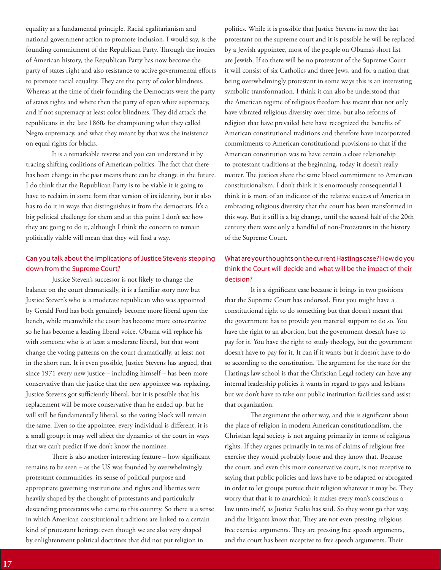equality as a fundamental principle. Racial egalitarianism and national government action to promote inclusion, I would say, is the founding commitment of the Republican Party. Through the ironies of American history, the Republican Party has now become the party of states right and also resistance to active governmental efforts to promote racial equality. They are the party of color blindness. Whereas at the time of their founding the Democrats were the party of states rights and where then the party of open white supremacy, and if not supremacy at least color blindness. They did attack the republicans in the late 1860s for championing what they called Negro supremacy, and what they meant by that was the insistence on equal rights for blacks.

It is a remarkable reverse and you can understand it by tracing shifting coalitions of American politics. The fact that there has been change in the past means there can be change in the future. I do think that the Republican Party is to be viable it is going to have to reclaim in some form that version of its identity, but it also has to do it in ways that distinguishes it from the democrats. It's a big political challenge for them and at this point I don't see how they are going to do it, although I think the concern to remain politically viable will mean that they will find a way.

## Can you talk about the implications of Justice Steven's stepping down from the Supreme Court?

Justice Steven's successor is not likely to change the balance on the court dramatically, it is a familiar story now but Justice Steven's who is a moderate republican who was appointed by Gerald Ford has both genuinely become more liberal upon the bench, while meanwhile the court has become more conservative so he has become a leading liberal voice. Obama will replace his with someone who is at least a moderate liberal, but that wont change the voting patterns on the court dramatically, at least not in the short run. It is even possible, Justice Stevens has argued, that since 1971 every new justice – including himself – has been more conservative than the justice that the new appointee was replacing. Justice Stevens got sufficiently liberal, but it is possible that his replacement will be more conservative than he ended up, but he will still be fundamentally liberal, so the voting block will remain the same. Even so the appointee, every individual is different, it is a small group; it may well affect the dynamics of the court in ways that we can't predict if we don't know the nominee.

There is also another interesting feature – how significant remains to be seen – as the US was founded by overwhelmingly protestant communities, its sense of political purpose and appropriate governing institutions and rights and liberties were heavily shaped by the thought of protestants and particularly descending protestants who came to this country. So there is a sense in which American constitutional traditions are linked to a certain kind of protestant heritage even though we are also very shaped by enlightenment political doctrines that did not put religion in

politics. While it is possible that Justice Stevens in now the last protestant on the supreme court and it is possible he will be replaced by a Jewish appointee, most of the people on Obama's short list are Jewish. If so there will be no protestant of the Supreme Court it will consist of six Catholics and three Jews, and for a nation that being overwhelmingly protestant in some ways this is an interesting symbolic transformation. I think it can also be understood that the American regime of religious freedom has meant that not only have vibrated religious diversity over time, but also reforms of religion that have prevailed here have recognized the benefits of American constitutional traditions and therefore have incorporated commitments to American constitutional provisions so that if the American constitution was to have certain a close relationship to protestant traditions at the beginning, today it doesn't really matter. The justices share the same blood commitment to American constitutionalism. I don't think it is enormously consequential I think it is more of an indicator of the relative success of America in embracing religious diversity that the court has been transformed in this way. But it still is a big change, until the second half of the 20th century there were only a handful of non-Protestants in the history of the Supreme Court.

## What are your thoughts on the current Hastings case? How do you think the Court will decide and what will be the impact of their decision?

It is a significant case because it brings in two positions that the Supreme Court has endorsed. First you might have a constitutional right to do something but that doesn't meant that the government has to provide you material support to do so. You have the right to an abortion, but the government doesn't have to pay for it. You have the right to study theology, but the government doesn't have to pay for it. It can if it wants but it doesn't have to do so according to the constitution. The argument for the state for the Hastings law school is that the Christian Legal society can have any internal leadership policies it wants in regard to gays and lesbians but we don't have to take our public institution facilities sand assist that organization.

The argument the other way, and this is significant about the place of religion in modern American constitutionalism, the Christian legal society is not arguing primarily in terms of religious rights. If they argues primarily in terms of claims of religious free exercise they would probably loose and they know that. Because the court, and even this more conservative court, is not receptive to saying that public policies and laws have to be adapted or abrogated in order to let groups pursue their religion whatever it may be. They worry that that is to anarchical; it makes every man's conscious a law unto itself, as Justice Scalia has said. So they wont go that way, and the litigants know that. They are not even pressing religious free exercise arguments. They are pressing free speech arguments, and the court has been receptive to free speech arguments. Their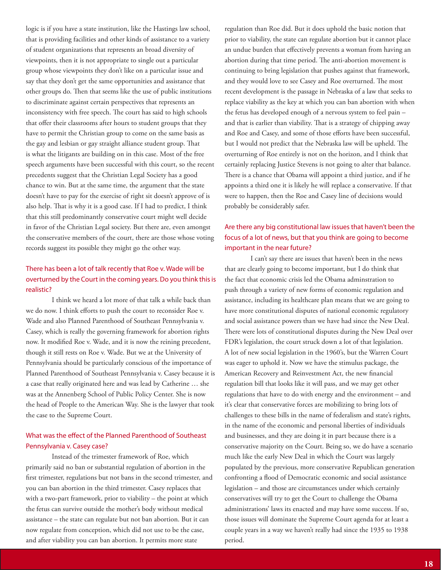logic is if you have a state institution, like the Hastings law school, that is providing facilities and other kinds of assistance to a variety of student organizations that represents an broad diversity of viewpoints, then it is not appropriate to single out a particular group whose viewpoints they don't like on a particular issue and say that they don't get the same opportunities and assistance that other groups do. Then that seems like the use of public institutions to discriminate against certain perspectives that represents an inconsistency with free speech. The court has said to high schools that offer their classrooms after hours to student groups that they have to permit the Christian group to come on the same basis as the gay and lesbian or gay straight alliance student group. That is what the litigants are building on in this case. Most of the free speech arguments have been successful with this court, so the recent precedents suggest that the Christian Legal Society has a good chance to win. But at the same time, the argument that the state doesn't have to pay for the exercise of right sit doesn't approve of is also help. That is why it is a good case. If I had to predict, I think that this still predominantly conservative court might well decide in favor of the Christian Legal society. But there are, even amongst the conservative members of the court, there are those whose voting records suggest its possible they might go the other way.

## There has been a lot of talk recently that Roe v. Wade will be overturned by the Court in the coming years. Do you think this is realistic?

I think we heard a lot more of that talk a while back than we do now. I think efforts to push the court to reconsider Roe v. Wade and also Planned Parenthood of Southeast Pennsylvania v. Casey, which is really the governing framework for abortion rights now. It modified Roe v. Wade, and it is now the reining precedent, though it still rests on Roe v. Wade. But we at the University of Pennsylvania should be particularly conscious of the importance of Planned Parenthood of Southeast Pennsylvania v. Casey because it is a case that really originated here and was lead by Catherine … she was at the Annenberg School of Public Policy Center. She is now the head of People to the American Way. She is the lawyer that took the case to the Supreme Court.

## What was the effect of the Planned Parenthood of Southeast Pennsylvania v. Casey case?

Instead of the trimester framework of Roe, which primarily said no ban or substantial regulation of abortion in the first trimester, regulations but not bans in the second trimester, and you can ban abortion in the third trimester. Casey replaces that with a two-part framework, prior to viability – the point at which the fetus can survive outside the mother's body without medical assistance – the state can regulate but not ban abortion. But it can now regulate from conception, which did not use to be the case, and after viability you can ban abortion. It permits more state

regulation than Roe did. But it does uphold the basic notion that prior to viability, the state can regulate abortion but it cannot place an undue burden that effectively prevents a woman from having an abortion during that time period. The anti-abortion movement is continuing to bring legislation that pushes against that framework, and they would love to see Casey and Roe overturned. The most recent development is the passage in Nebraska of a law that seeks to replace viability as the key at which you can ban abortion with when the fetus has developed enough of a nervous system to feel pain – and that is earlier than viability. That is a strategy of chipping away and Roe and Casey, and some of those efforts have been successful, but I would not predict that the Nebraska law will be upheld. The overturning of Roe entirely is not on the horizon, and I think that certainly replacing Justice Stevens is not going to alter that balance. There is a chance that Obama will appoint a third justice, and if he appoints a third one it is likely he will replace a conservative. If that were to happen, then the Roe and Casey line of decisions would probably be considerably safer.

## Are there any big constitutional law issues that haven't been the focus of a lot of news, but that you think are going to become important in the near future?

I can't say there are issues that haven't been in the news that are clearly going to become important, but I do think that the fact that economic crisis led the Obama adminstration to push through a variety of new forms of economic regulation and assistance, including its healthcare plan means that we are going to have more constitutional disputes of national economic regulatory and social assistance powers than we have had since the New Deal. There were lots of constitutional disputes during the New Deal over FDR's legislation, the court struck down a lot of that legislation. A lot of new social legislation in the 1960's, but the Warren Court was eager to uphold it. Now we have the stimulus package, the American Recovery and Reinvestment Act, the new financial regulation bill that looks like it will pass, and we may get other regulations that have to do with energy and the environment – and it's clear that conservative forces are mobilizing to bring lots of challenges to these bills in the name of federalism and state's rights, in the name of the economic and personal liberties of individuals and businesses, and they are doing it in part because there is a conservative majority on the Court. Being so, we do have a scenario much like the early New Deal in which the Court was largely populated by the previous, more conservative Republican generation confronting a flood of Democratic economic and social assistance legislation – and those are circumstances under which certainly conservatives will try to get the Court to challenge the Obama administrations' laws its enacted and may have some success. If so, those issues will dominate the Supreme Court agenda for at least a couple years in a way we haven't really had since the 1935 to 1938 period.